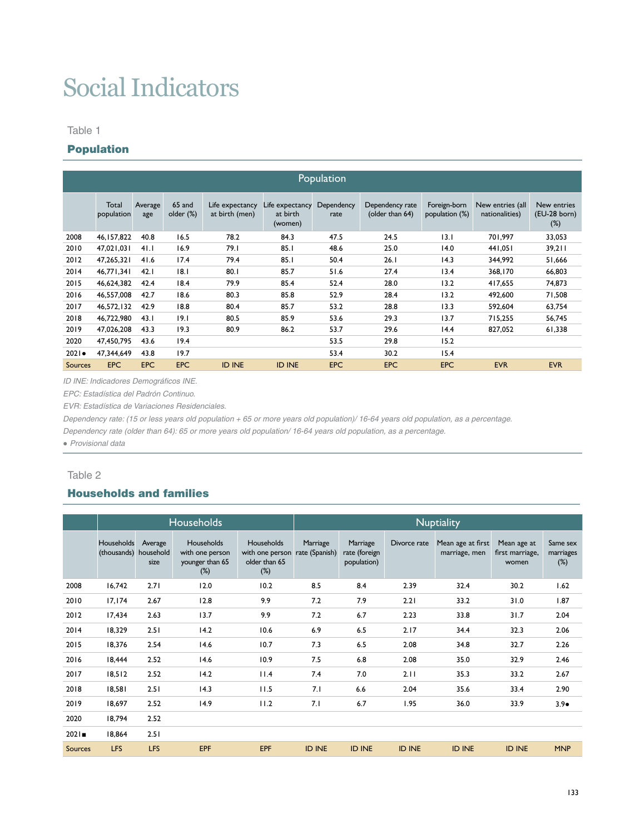# Social Indicators

#### Table 1

# Population

|                | Population          |                |                     |                                   |                                        |                    |                                    |                                |                                    |                                       |  |  |  |
|----------------|---------------------|----------------|---------------------|-----------------------------------|----------------------------------------|--------------------|------------------------------------|--------------------------------|------------------------------------|---------------------------------------|--|--|--|
|                | Total<br>population | Average<br>age | 65 and<br>older (%) | Life expectancy<br>at birth (men) | Life expectancy<br>at birth<br>(women) | Dependency<br>rate | Dependency rate<br>(older than 64) | Foreign-born<br>population (%) | New entries (all<br>nationalities) | New entries<br>(EU-28 born)<br>$(\%)$ |  |  |  |
| 2008           | 46, 157, 822        | 40.8           | 16.5                | 78.2                              | 84.3                                   | 47.5               | 24.5                               | 3.1                            | 701.997                            | 33,053                                |  |  |  |
| 2010           | 47,021,031          | 41.1           | 16.9                | 79.1                              | 85.1                                   | 48.6               | 25.0                               | 14.0                           | 441,051                            | 39,211                                |  |  |  |
| 2012           | 47,265,321          | 41.6           | 17.4                | 79.4                              | 85.1                                   | 50.4               | 26.1                               | 14.3                           | 344,992                            | 51,666                                |  |  |  |
| 2014           | 46.771.341          | 42.1           | 8.1                 | 80.1                              | 85.7                                   | 51.6               | 27.4                               | 13.4                           | 368,170                            | 66,803                                |  |  |  |
| 2015           | 46,624,382          | 42.4           | 18.4                | 79.9                              | 85.4                                   | 52.4               | 28.0                               | 13.2                           | 417,655                            | 74,873                                |  |  |  |
| 2016           | 46,557,008          | 42.7           | 18.6                | 80.3                              | 85.8                                   | 52.9               | 28.4                               | 13.2                           | 492.600                            | 71,508                                |  |  |  |
| 2017           | 46,572,132          | 42.9           | 18.8                | 80.4                              | 85.7                                   | 53.2               | 28.8                               | 13.3                           | 592.604                            | 63,754                                |  |  |  |
| 2018           | 46,722,980          | 43.1           | 19.1                | 80.5                              | 85.9                                   | 53.6               | 29.3                               | 13.7                           | 715.255                            | 56,745                                |  |  |  |
| 2019           | 47,026,208          | 43.3           | 19.3                | 80.9                              | 86.2                                   | 53.7               | 29.6                               | 14.4                           | 827.052                            | 61,338                                |  |  |  |
| 2020           | 47,450,795          | 43.6           | 19.4                |                                   |                                        | 53.5               | 29.8                               | 15.2                           |                                    |                                       |  |  |  |
| 2021           | 47.344.649          | 43.8           | 19.7                |                                   |                                        | 53.4               | 30.2                               | 15.4                           |                                    |                                       |  |  |  |
| <b>Sources</b> | <b>EPC</b>          | <b>EPC</b>     | <b>EPC</b>          | <b>ID INE</b>                     | <b>ID INE</b>                          | <b>EPC</b>         | <b>EPC</b>                         | <b>EPC</b>                     | <b>EVR</b>                         | <b>EVR</b>                            |  |  |  |

*ID INE: Indicadores Demográficos INE.*

*EPC: Estadística del Padrón Continuo.* 

*EVR: Estadística de Variaciones Residenciales.*

*Dependency rate: (15 or less years old population + 65 or more years old population)/ 16-64 years old population, as a percentage.*

*Dependency rate (older than 64): 65 or more years old population/ 16-64 years old population, as a percentage.*

*● Provisional data*

#### Table 2

# Households and families

|                |                           |                              | <b>Households</b>                                          |                                                                 | <b>Nuptiality</b>          |                                          |               |                                    |                                         |                                 |  |  |  |
|----------------|---------------------------|------------------------------|------------------------------------------------------------|-----------------------------------------------------------------|----------------------------|------------------------------------------|---------------|------------------------------------|-----------------------------------------|---------------------------------|--|--|--|
|                | Households<br>(thousands) | Average<br>household<br>size | Households<br>with one person<br>younger than 65<br>$(\%)$ | <b>Households</b><br>with one person<br>older than 65<br>$(\%)$ | Marriage<br>rate (Spanish) | Marriage<br>rate (foreign<br>population) | Divorce rate  | Mean age at first<br>marriage, men | Mean age at<br>first marriage,<br>women | Same sex<br>marriages<br>$(\%)$ |  |  |  |
| 2008           | 16,742                    | 2.71                         | 12.0                                                       | 10.2                                                            | 8.5                        | 8.4                                      | 2.39          | 32.4                               | 30.2                                    | 1.62                            |  |  |  |
| 2010           | 17, 174                   | 2.67                         | 12.8                                                       | 9.9                                                             | 7.2                        | 7.9                                      | 2.21          | 33.2                               | 31.0                                    | 1.87                            |  |  |  |
| 2012           | 17,434                    | 2.63                         | 13.7                                                       | 9.9                                                             | 7.2                        | 6.7                                      | 2.23          | 33.8                               | 31.7                                    | 2.04                            |  |  |  |
| 2014           | 18,329                    | 2.51                         | 14.2                                                       | 10.6                                                            | 6.9                        | 6.5                                      | 2.17          | 34.4                               | 32.3                                    | 2.06                            |  |  |  |
| 2015           | 18.376                    | 2.54                         | 14.6                                                       | 10.7                                                            | 7.3                        | 6.5                                      | 2.08          | 34.8                               | 32.7                                    | 2.26                            |  |  |  |
| 2016           | 18,444                    | 2.52                         | 14.6                                                       | 10.9                                                            | 7.5                        | 6.8                                      | 2.08          | 35.0                               | 32.9                                    | 2.46                            |  |  |  |
| 2017           | 18,512                    | 2.52                         | 14.2                                                       | 11.4                                                            | 7.4                        | 7.0                                      | 2.11          | 35.3                               | 33.2                                    | 2.67                            |  |  |  |
| 2018           | 18,581                    | 2.51                         | 14.3                                                       | 11.5                                                            | 7.1                        | 6.6                                      | 2.04          | 35.6                               | 33.4                                    | 2.90                            |  |  |  |
| 2019           | 18,697                    | 2.52                         | 14.9                                                       | 11.2                                                            | 7.1                        | 6.7                                      | 1.95          | 36.0                               | 33.9                                    | $3.9\bullet$                    |  |  |  |
| 2020           | 18,794                    | 2.52                         |                                                            |                                                                 |                            |                                          |               |                                    |                                         |                                 |  |  |  |
| 2021           | 18,864                    | 2.51                         |                                                            |                                                                 |                            |                                          |               |                                    |                                         |                                 |  |  |  |
| <b>Sources</b> | <b>LFS</b>                | LFS                          | EPF                                                        | <b>EPF</b>                                                      | <b>ID INE</b>              | <b>ID INE</b>                            | <b>ID INE</b> | <b>ID INE</b>                      | <b>ID INE</b>                           | <b>MNP</b>                      |  |  |  |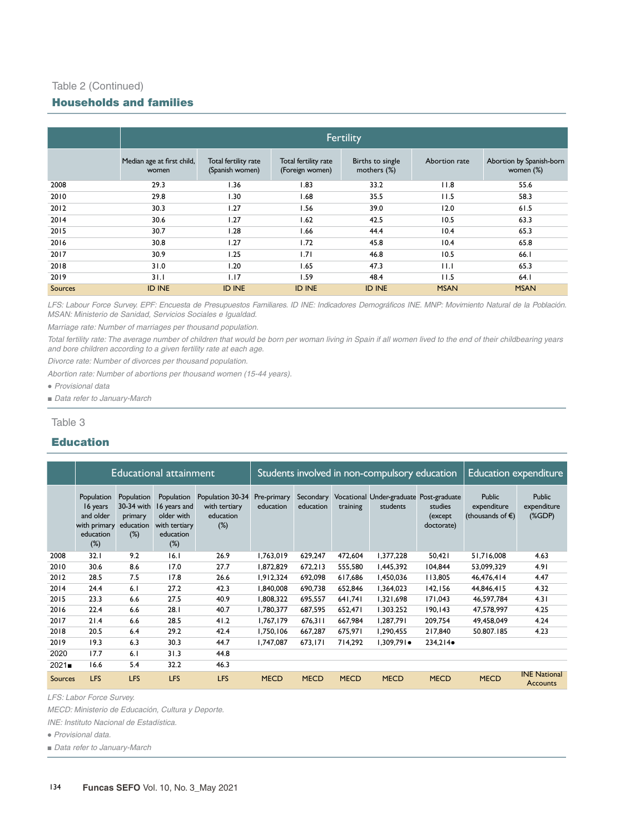# Table 2 (Continued)

# Households and families

|                | <b>Fertility</b>                    |                                         |                                         |                                 |               |                                       |  |  |  |  |  |  |
|----------------|-------------------------------------|-----------------------------------------|-----------------------------------------|---------------------------------|---------------|---------------------------------------|--|--|--|--|--|--|
|                | Median age at first child,<br>women | Total fertility rate<br>(Spanish women) | Total fertility rate<br>(Foreign women) | Births to single<br>mothers (%) | Abortion rate | Abortion by Spanish-born<br>women (%) |  |  |  |  |  |  |
| 2008           | 29.3                                | 1.36                                    | 1.83                                    | 33.2                            | 11.8          | 55.6                                  |  |  |  |  |  |  |
| 2010           | 29.8                                | l.30                                    | 1.68                                    | 35.5                            | 11.5          | 58.3                                  |  |  |  |  |  |  |
| 2012           | 30.3                                | 1.27                                    | 1.56                                    | 39.0                            | 12.0          | 61.5                                  |  |  |  |  |  |  |
| 2014           | 30.6                                | 1.27                                    | 1.62                                    | 42.5                            | 10.5          | 63.3                                  |  |  |  |  |  |  |
| 2015           | 30.7                                | 1.28                                    | 1.66                                    | 44.4                            | 10.4          | 65.3                                  |  |  |  |  |  |  |
| 2016           | 30.8                                | 1.27                                    | 1.72                                    | 45.8                            | 10.4          | 65.8                                  |  |  |  |  |  |  |
| 2017           | 30.9                                | 1.25                                    | 1.71                                    | 46.8                            | 10.5          | 66.1                                  |  |  |  |  |  |  |
| 2018           | 31.0                                | 1.20                                    | 1.65                                    | 47.3                            | 11.1          | 65.3                                  |  |  |  |  |  |  |
| 2019           | 31.1                                | 1.17                                    | 1.59                                    | 48.4                            | 11.5          | 64.1                                  |  |  |  |  |  |  |
| <b>Sources</b> | <b>ID INE</b>                       | <b>ID INE</b>                           | <b>ID INE</b>                           | <b>ID INE</b>                   | <b>MSAN</b>   | <b>MSAN</b>                           |  |  |  |  |  |  |

LFS: Labour Force Survey. EPF: Encuesta de Presupuestos Familiares. ID INE: Indicadores Demográficos INE. MNP: Movimiento Natural de la Población. *MSAN: Ministerio de Sanidad, Servicios Sociales e Igualdad.* 

*Marriage rate: Number of marriages per thousand population.*

*Total fertility rate: The average number of children that would be born per woman living in Spain if all women lived to the end of their childbearing years and bore children according to a given fertility rate at each age.*

*Divorce rate: Number of divorces per thousand population.*

*Abortion rate: Number of abortions per thousand women (15-44 years).*

● *Provisional data*

*■ Data refer to January-March*

Table 3

## Education

|                |                                                                            |                                                            | <b>Educational attainment</b>                                                    |                                                          |                          | Students involved in non-compulsory education | <b>Education expenditure</b> |                                                     |                                  |                                                            |                                        |
|----------------|----------------------------------------------------------------------------|------------------------------------------------------------|----------------------------------------------------------------------------------|----------------------------------------------------------|--------------------------|-----------------------------------------------|------------------------------|-----------------------------------------------------|----------------------------------|------------------------------------------------------------|----------------------------------------|
|                | Population<br>16 years<br>and older<br>with primary<br>education<br>$(\%)$ | Population<br>30-34 with<br>primary<br>education<br>$(\%)$ | Population<br>16 years and<br>older with<br>with tertiary<br>education<br>$(\%)$ | Population 30-34<br>with tertiary<br>education<br>$(\%)$ | Pre-primary<br>education | Secondary<br>education                        | training                     | Vocational Under-graduate Post-graduate<br>students | studies<br>(except<br>doctorate) | <b>Public</b><br>expenditure<br>(thousands of $\epsilon$ ) | <b>Public</b><br>expenditure<br>(XGDP) |
| 2008           | 32.1                                                                       | 9.2                                                        | 16.1                                                                             | 26.9                                                     | 1,763,019                | 629,247                                       | 472,604                      | 1,377,228                                           | 50,421                           | 51,716,008                                                 | 4.63                                   |
| 2010           | 30.6                                                                       | 8.6                                                        | 17.0                                                                             | 27.7                                                     | 1,872,829                | 672,213                                       | 555,580                      | 1,445,392                                           | 104,844                          | 53,099,329                                                 | 4.91                                   |
| 2012           | 28.5                                                                       | 7.5                                                        | 17.8                                                                             | 26.6                                                     | 1.912.324                | 692.098                                       | 617.686                      | 1.450.036                                           | 113.805                          | 46.476.414                                                 | 4.47                                   |
| 2014           | 24.4                                                                       | 6.1                                                        | 27.2                                                                             | 42.3                                                     | 1.840.008                | 690.738                                       | 652.846                      | 1,364,023                                           | 142, 156                         | 44.846.415                                                 | 4.32                                   |
| 2015           | 23.3                                                                       | 6.6                                                        | 27.5                                                                             | 40.9                                                     | 1,808,322                | 695.557                                       | 641.741                      | 1.321.698                                           | 171.043                          | 46.597.784                                                 | 4.31                                   |
| 2016           | 22.4                                                                       | 6.6                                                        | 28.1                                                                             | 40.7                                                     | 1,780,377                | 687,595                                       | 652,471                      | 1.303.252                                           | 190, 143                         | 47,578,997                                                 | 4.25                                   |
| 2017           | 21.4                                                                       | 6.6                                                        | 28.5                                                                             | 41.2                                                     | 1,767,179                | 676.311                                       | 667,984                      | 1,287,791                                           | 209,754                          | 49,458,049                                                 | 4.24                                   |
| 2018           | 20.5                                                                       | 6.4                                                        | 29.2                                                                             | 42.4                                                     | 1,750,106                | 667,287                                       | 675,971                      | 1,290,455                                           | 217,840                          | 50.807.185                                                 | 4.23                                   |
| 2019           | 19.3                                                                       | 6.3                                                        | 30.3                                                                             | 44.7                                                     | 1,747,087                | 673,171                                       | 714,292                      | $1.309.791 \bullet$                                 | $234.214 \bullet$                |                                                            |                                        |
| 2020           | 17.7                                                                       | 6.1                                                        | 31.3                                                                             | 44.8                                                     |                          |                                               |                              |                                                     |                                  |                                                            |                                        |
| 2021           | 16.6                                                                       | 5.4                                                        | 32.2                                                                             | 46.3                                                     |                          |                                               |                              |                                                     |                                  |                                                            |                                        |
| <b>Sources</b> | <b>LFS</b>                                                                 | <b>LFS</b>                                                 | <b>LFS</b>                                                                       | <b>LFS</b>                                               | <b>MECD</b>              | <b>MECD</b>                                   | <b>MECD</b>                  | <b>MECD</b>                                         | <b>MECD</b>                      | <b>MECD</b>                                                | <b>INE National</b><br><b>Accounts</b> |

*LFS: Labor Force Survey.* 

*MECD: Ministerio de Educación, Cultura y Deporte.*

*INE: Instituto Nacional de Estadística.*

● *Provisional data.* 

*■ Data refer to January-March*